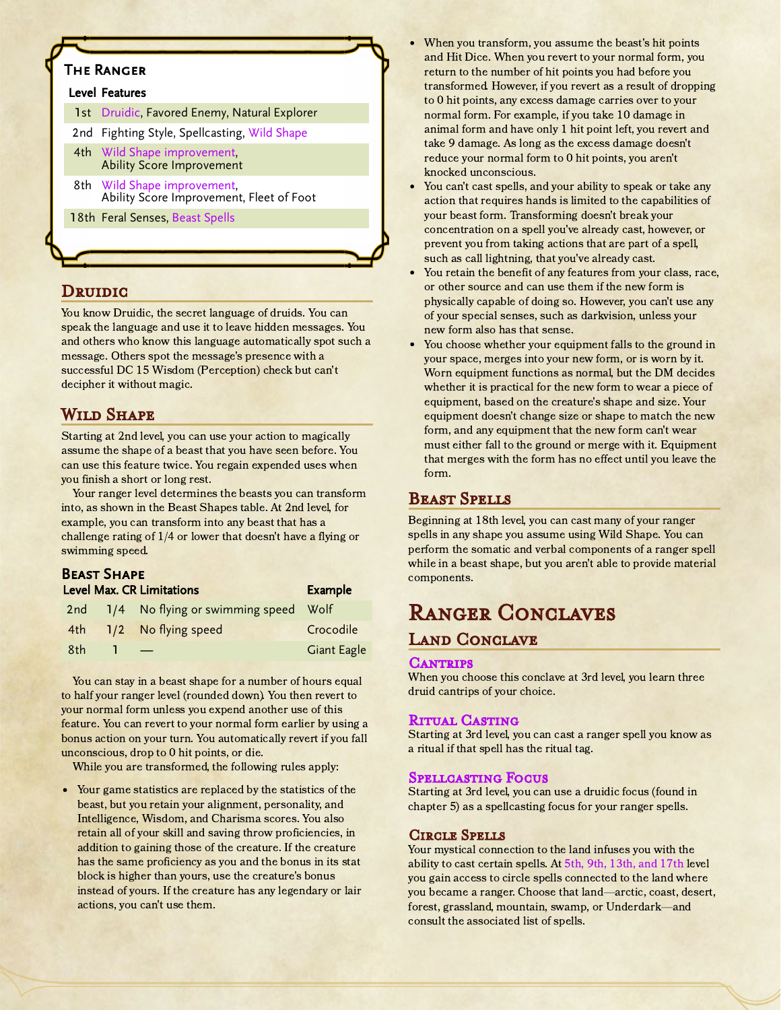## The Ranger

#### Level Features

- 1st Druidic, Favored Enemy, Natural Explorer
- 2nd Fighting Style, Spellcasting, Wild Shape
- 4th Wild Shape improvement, Ability Score Improvement
- 8th Wild Shape improvement, Ability Score Improvement, Fleet of Foot
- 18th Feral Senses, Beast Spells

## Druidic

You know Druidic, the secret language of druids. You can speak the language and use it to leave hidden messages. You and others who know this language automatically spot such a message. Others spot the message's presence with a successful DC 15 Wisdom (Perception) check but can't decipher it without magic.

# WILD SHAPE

Starting at 2nd level, you can use your action to magically assume the shape of a beast that you have seen before. You can use this feature twice. You regain expended uses when you finish a short or long rest.

Your ranger level determines the beasts you can transform into, as shown in the Beast Shapes table. At 2nd level, for example, you can transform into any beast that has a challenge rating of 1/4 or lower that doesn't have a flying or swimming speed.

#### Beast Shape Level Max. CR Limitations Example

|     | LEVEL IVIAA. CR EIHIRAGUURS              | <b>LAGHIPIC</b>    |
|-----|------------------------------------------|--------------------|
|     | 2nd 1/4 No flying or swimming speed Wolf |                    |
|     | 4th 1/2 No flying speed                  | Crocodile          |
| 8th |                                          | <b>Giant Eagle</b> |

You can stay in a beast shape for a number of hours equal to half your ranger level (rounded down). You then revert to your normal form unless you expend another use of this feature. You can revert to your normal form earlier by using a bonus action on your turn. You automatically revert if you fall unconscious, drop to 0 hit points, or die.

While you are transformed, the following rules apply:

Your game statistics are replaced by the statistics of the beast, but you retain your alignment, personality, and Intelligence, Wisdom, and Charisma scores. You also retain all of your skill and saving throw proficiencies, in addition to gaining those of the creature. If the creature has the same proficiency as you and the bonus in its stat block is higher than yours, use the creature's bonus instead of yours. If the creature has any legendary or lair actions, you can't use them.

- When you transform, you assume the beast's hit points and Hit Dice. When you revert to your normal form, you return to the number of hit points you had before you transformed. However, if you revert as a result of dropping to 0 hit points, any excess damage carries over to your normal form. For example, if you take 10 damage in animal form and have only 1 hit point left, you revert and take 9 damage. As long as the excess damage doesn't reduce your normal form to 0 hit points, you aren't knocked unconscious.
- You can't cast spells, and your ability to speak or take any action that requires hands is limited to the capabilities of your beast form. Transforming doesn't break your concentration on a spell you've already cast, however, or prevent you from taking actions that are part of a spell, such as call lightning, that you've already cast.
- You retain the benefit of any features from your class, race, or other source and can use them if the new form is physically capable of doing so. However, you can't use any of your special senses, such as darkvision, unless your new form also has that sense.
- You choose whether your equipment falls to the ground in your space, merges into your new form, or is worn by it. Worn equipment functions as normal, but the DM decides whether it is practical for the new form to wear a piece of equipment, based on the creature's shape and size. Your equipment doesn't change size or shape to match the new form, and any equipment that the new form can't wear must either fall to the ground or merge with it. Equipment that merges with the form has no effect until you leave the form.

## Beast Spells

Beginning at 18th level, you can cast many of your ranger spells in any shape you assume using Wild Shape. You can perform the somatic and verbal components of a ranger spell while in a beast shape, but you aren't able to provide material components.

# Ranger Conclaves

## Land Conclave

#### **CANTRIPS**

When you choose this conclave at 3rd level, you learn three druid cantrips of your choice.

#### Ritual Casting

Starting at 3rd level, you can cast a ranger spell you know as a ritual if that spell has the ritual tag.

#### Spellcasting Focus

Starting at 3rd level, you can use a druidic focus (found in chapter 5) as a spellcasting focus for your ranger spells.

#### Circle Spells

Your mystical connection to the land infuses you with the ability to cast certain spells. At 5th, 9th, 13th, and 17th level you gain access to circle spells connected to the land where you became a ranger. Choose that land—arctic, coast, desert, forest, grassland, mountain, swamp, or Underdark—and consult the associated list of spells.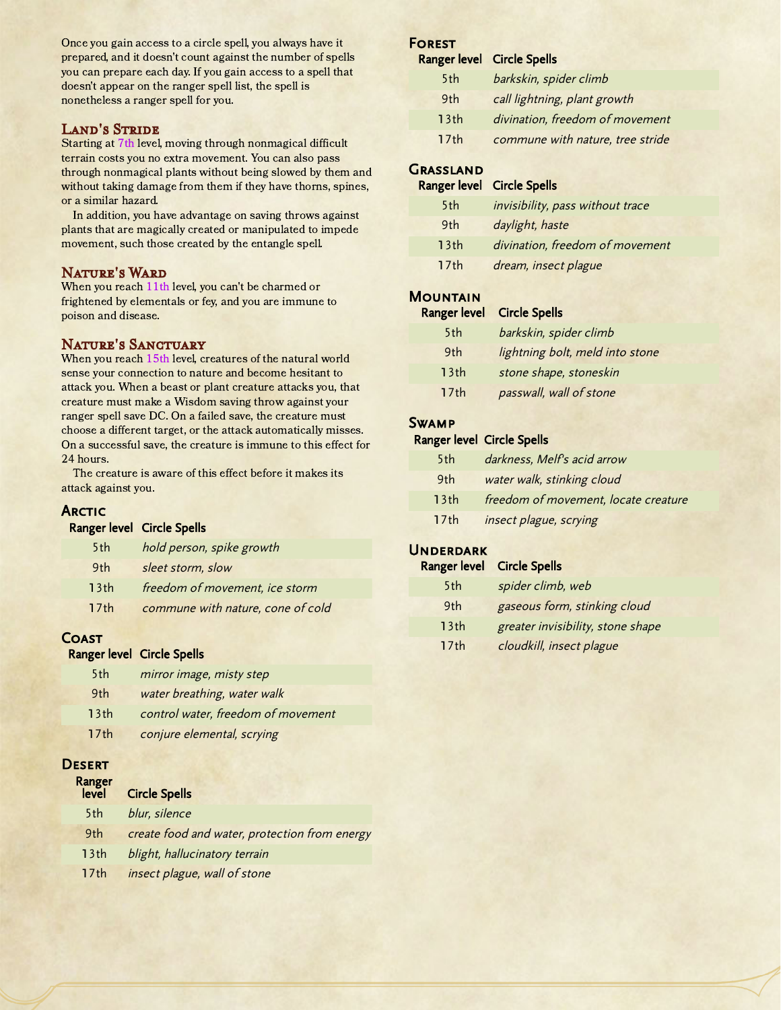Once you gain access to a circle spell, you always have it prepared, and it doesn't count against the number of spells you can prepare each day. If you gain access to a spell that doesn't appear on the ranger spell list, the spell is nonetheless a ranger spell for you.

## LAND'S STRIDE

Starting at 7th level, moving through nonmagical difficult terrain costs you no extra movement. You can also pass through nonmagical plants without being slowed by them and without taking damage from them if they have thorns, spines, or a similar hazard.

In addition, you have advantage on saving throws against plants that are magically created or manipulated to impede movement, such those created by the entangle spell.

#### Nature's Ward

When you reach 11th level, you can't be charmed or frightened by elementals or fey, and you are immune to poison and disease.

#### NATURE'S SANCTUARY

When you reach 15th level, creatures of the natural world sense your connection to nature and become hesitant to attack you. When a beast or plant creature attacks you, that creature must make a Wisdom saving throw against your ranger spell save DC. On a failed save, the creature must choose a different target, or the attack automatically misses. On a successful save, the creature is immune to this effect for 24 hours.

The creature is aware of this effect before it makes its attack against you.

#### **ARCTIC**

#### Ranger level Circle Spells

| 5th              | hold person, spike growth         |
|------------------|-----------------------------------|
| 9th              | sleet storm, slow                 |
| 13 <sub>th</sub> | freedom of movement, ice storm    |
| 17 <sub>th</sub> | commune with nature, cone of cold |

## **COAST**

## Ranger level Circle Spells

| 5th              | mirror image, misty step           |
|------------------|------------------------------------|
| 9th              | water breathing, water walk        |
| 13 <sub>th</sub> | control water, freedom of movement |
| 17 <sub>th</sub> | conjure elemental, scrying         |

#### **DESERT**

| Ranger<br>level | <b>Circle Spells</b>                          |
|-----------------|-----------------------------------------------|
| 5th             | blur, silence                                 |
| 9th             | create food and water, protection from energy |
| 13th            | blight, hallucinatory terrain                 |
| 17th            | insect plague, wall of stone                  |

#### **FOREST** Ranger level Circle Spells

|                  | vanger lever Circle Spens        |
|------------------|----------------------------------|
| 5th              | barkskin, spider climb           |
| 9th              | call lightning, plant growth     |
| 13th             | divination, freedom of movement  |
| 17 <sub>th</sub> | commune with nature, tree stride |

## **GRASSLAND**

#### Ranger level Circle Spells

| 5th              | invisibility, pass without trace |
|------------------|----------------------------------|
| 9th              | daylight, haste                  |
| 13 <sub>th</sub> | divination, freedom of movement  |
| 17 <sub>th</sub> | dream, insect plague             |

## **MOUNTAIN**

#### Ranger level Circle Spells

| 5th              | barkskin, spider climb          |
|------------------|---------------------------------|
| 9th              | lightning bolt, meld into stone |
| 13 <sub>th</sub> | stone shape, stoneskin          |
| 17 <sub>th</sub> | passwall, wall of stone         |

## **SWAMP**

#### Ranger level Circle Spells

| 5th              | darkness, Melf's acid arrow          |
|------------------|--------------------------------------|
| 9th              | water walk, stinking cloud           |
| 13th             | freedom of movement, locate creature |
| 17 <sub>th</sub> | insect plague, scrying               |

## **UNDERDARK**

| Ranger level     | <b>Circle Spells</b>              |
|------------------|-----------------------------------|
| 5th              | spider climb, web                 |
| 9th              | gaseous form, stinking cloud      |
| 13 <sub>th</sub> | greater invisibility, stone shape |
| 17 <sub>th</sub> | cloudkill, insect plague          |